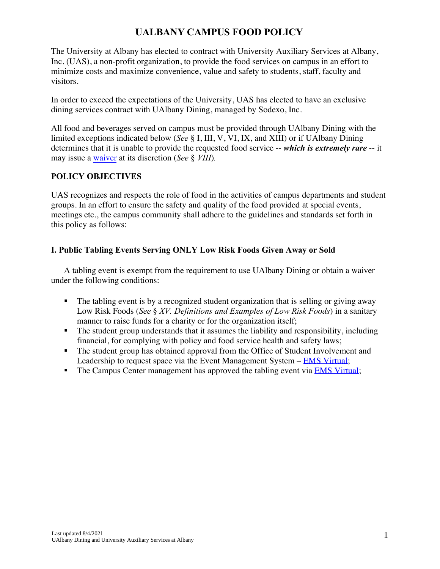# **UALBANY CAMPUS FOOD POLICY**

The University at Albany has elected to contract with University Auxiliary Services at Albany, Inc. (UAS), a non-profit organization, to provide the food services on campus in an effort to minimize costs and maximize convenience, value and safety to students, staff, faculty and visitors.

In order to exceed the expectations of the University, UAS has elected to have an exclusive dining services contract with UAlbany Dining, managed by Sodexo, Inc.

All food and beverages served on campus must be provided through UAlbany Dining with the limited exceptions indicated below (*See* § I, III, V, VI, IX, and XIII) or if UAlbany Dining determines that it is unable to provide the requested food service -- *which is extremely rare* -- it may issue a [waiver](https://www.ualbanydining.com/images/Request%20for%20Approval%20Form_tcm108-5736.pdf) at its discretion (*See* § *VIII*)*.*

#### **POLICY OBJECTIVES**

UAS recognizes and respects the role of food in the activities of campus departments and student groups. In an effort to ensure the safety and quality of the food provided at special events, meetings etc., the campus community shall adhere to the guidelines and standards set forth in this policy as follows:

## **I. Public Tabling Events Serving ONLY Low Risk Foods Given Away or Sold**

A tabling event is exempt from the requirement to use UAlbany Dining or obtain a waiver under the following conditions:

- The tabling event is by a recognized student organization that is selling or giving away Low Risk Foods (*See* § *XV. Definitions and Examples of Low Risk Foods*) in a sanitary manner to raise funds for a charity or for the organization itself;
- The student group understands that it assumes the liability and responsibility, including financial, for complying with policy and food service health and safety laws;
- The student group has obtained approval from the Office of Student Involvement and Leadership to request space via the Event Management System – **EMS** Virtual;
- **•** The Campus Center management has approved the tabling event via **EMS Virtual**;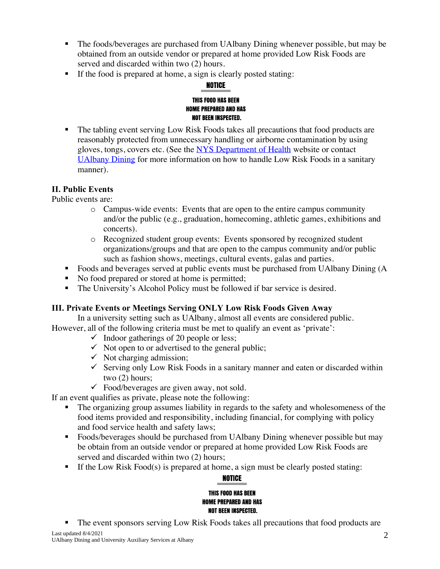- The foods/beverages are purchased from UAlbany Dining whenever possible, but may be obtained from an outside vendor or prepared at home provided Low Risk Foods are served and discarded within two (2) hours.
- If the food is prepared at home, a sign is clearly posted stating:

# NOTICE

#### THIS FOOD HAS BEEN **HOME PREPARED AND HAS NOT BEEN INSPECTED.**

■ The tabling event serving Low Risk Foods takes all precautions that food products are reasonably protected from unnecessary handling or airborne contamination by using gloves, tongs, covers etc. (See the [NYS Department of Health](http://www.health.ny.gov/environmental/indoors/food_safety/guidance.htm) website or contact [UAlbany Dining](mailto:dining@albany.edu) for more information on how to handle Low Risk Foods in a sanitary manner).

## **II. Public Events**

Public events are:

- o Campus-wide events: Events that are open to the entire campus community and/or the public (e.g., graduation, homecoming, athletic games, exhibitions and concerts).
- o Recognized student group events: Events sponsored by recognized student organizations/groups and that are open to the campus community and/or public such as fashion shows, meetings, cultural events, galas and parties.
- Foods and beverages served at public events must be purchased from UAlbany Dining (A
- No food prepared or stored at home is permitted;
- The University's Alcohol Policy must be followed if bar service is desired.

## **III. Private Events or Meetings Serving ONLY Low Risk Foods Given Away**

In a university setting such as UAlbany, almost all events are considered public. However, all of the following criteria must be met to qualify an event as 'private':

- $\checkmark$  Indoor gatherings of 20 people or less;
- $\checkmark$  Not open to or advertised to the general public;
- $\checkmark$  Not charging admission;
- $\checkmark$  Serving only Low Risk Foods in a sanitary manner and eaten or discarded within two (2) hours;
- $\checkmark$  Food/beverages are given away, not sold.

If an event qualifies as private, please note the following:

- The organizing group assumes liability in regards to the safety and wholesomeness of the food items provided and responsibility, including financial, for complying with policy and food service health and safety laws;
- Foods/beverages should be purchased from UAlbany Dining whenever possible but may be obtain from an outside vendor or prepared at home provided Low Risk Foods are served and discarded within two  $(2)$  hours;
- $\blacksquare$  If the Low Risk Food(s) is prepared at home, a sign must be clearly posted stating:

## **NOTICE THIS FOOD HAS BEEN HOME PREPARED AND HAS NOT BEEN INSPECTED.**

The event sponsors serving Low Risk Foods takes all precautions that food products are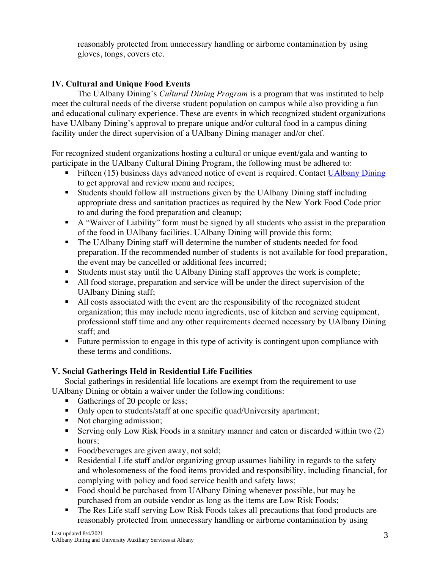reasonably protected from unnecessary handling or airborne contamination by using gloves, tongs, covers etc.

## **IV. Cultural and Unique Food Events**

The UAlbany Dining's *Cultural Dining Program* is a program that was instituted to help meet the cultural needs of the diverse student population on campus while also providing a fun and educational culinary experience. These are events in which recognized student organizations have UAlbany Dining's approval to prepare unique and/or cultural food in a campus dining facility under the direct supervision of a UAlbany Dining manager and/or chef.

For recognized student organizations hosting a cultural or unique event/gala and wanting to participate in the UAlbany Cultural Dining Program, the following must be adhered to:

- Fifteen (15) business days advanced notice of event is required. Contact [UAlbany Dining](mailto:diining@albany.edu) to get approval and review menu and recipes;
- Students should follow all instructions given by the UAlbany Dining staff including appropriate dress and sanitation practices as required by the New York Food Code prior to and during the food preparation and cleanup;
- A "Waiver of Liability" form must be signed by all students who assist in the preparation of the food in UAlbany facilities. UAlbany Dining will provide this form;
- The UAlbany Dining staff will determine the number of students needed for food preparation. If the recommended number of students is not available for food preparation, the event may be cancelled or additional fees incurred;
- Students must stay until the UAlbany Dining staff approves the work is complete;
- All food storage, preparation and service will be under the direct supervision of the UAlbany Dining staff;
- All costs associated with the event are the responsibility of the recognized student organization; this may include menu ingredients, use of kitchen and serving equipment, professional staff time and any other requirements deemed necessary by UAlbany Dining staff; and
- Future permission to engage in this type of activity is contingent upon compliance with these terms and conditions.

## **V. Social Gatherings Held in Residential Life Facilities**

Social gatherings in residential life locations are exempt from the requirement to use UAlbany Dining or obtain a waiver under the following conditions:

- Gatherings of 20 people or less;
- Only open to students/staff at one specific quad/University apartment;
- Not charging admission;
- Serving only Low Risk Foods in a sanitary manner and eaten or discarded within two (2) hours;
- Food/beverages are given away, not sold;
- **EXECUTE:** Residential Life staff and/or organizing group assumes liability in regards to the safety and wholesomeness of the food items provided and responsibility, including financial, for complying with policy and food service health and safety laws;
- Food should be purchased from UAlbany Dining whenever possible, but may be purchased from an outside vendor as long as the items are Low Risk Foods;
- The Res Life staff serving Low Risk Foods takes all precautions that food products are reasonably protected from unnecessary handling or airborne contamination by using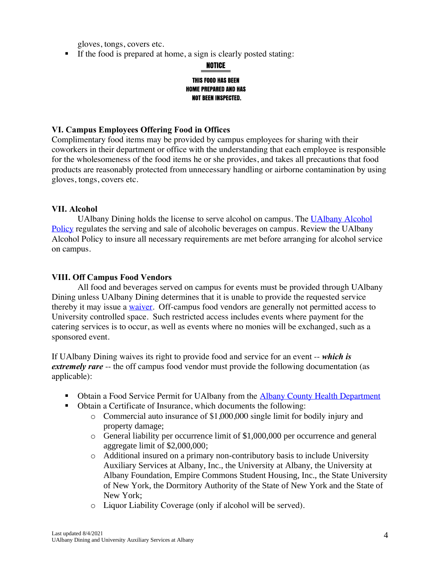gloves, tongs, covers etc.

■ If the food is prepared at home, a sign is clearly posted stating:

**NOTICE** 

#### THIS FOOD HAS BEEN **HOME PREPARED AND HAS NOT BEEN INSPECTED.**

#### **VI. Campus Employees Offering Food in Offices**

Complimentary food items may be provided by campus employees for sharing with their coworkers in their department or office with the understanding that each employee is responsible for the wholesomeness of the food items he or she provides, and takes all precautions that food products are reasonably protected from unnecessary handling or airborne contamination by using gloves, tongs, covers etc.

#### **VII. Alcohol**

UAlbany Dining holds the license to serve alcohol on campus. The [UAlbany Alcohol](https://portal.itsli.albany.edu/documents/14702/27405/EP-HP-Alcohol-Policy-2014-15.pdf)  [Policy](https://portal.itsli.albany.edu/documents/14702/27405/EP-HP-Alcohol-Policy-2014-15.pdf) regulates the serving and sale of alcoholic beverages on campus. Review the UAlbany Alcohol Policy to insure all necessary requirements are met before arranging for alcohol service on campus.

#### **VIII. Off Campus Food Vendors**

All food and beverages served on campus for events must be provided through UAlbany Dining unless UAlbany Dining determines that it is unable to provide the requested service thereby it may issue a [waiver.](https://www.ualbanydining.com/images/Request%20for%20Approval%20Form_tcm108-5736.pdf) Off-campus food vendors are generally not permitted access to University controlled space. Such restricted access includes events where payment for the catering services is to occur, as well as events where no monies will be exchanged, such as a sponsored event.

If UAlbany Dining waives its right to provide food and service for an event -- *which is extremely rare* -- the off campus food vendor must provide the following documentation (as applicable):

- **EXECUTE:** Obtain a Food Service Permit for UAlbany from the [Albany County Health Department](http://www.albanycounty.com/Government/Departments/DepartmentofHealth.aspx)
- Obtain a Certificate of Insurance, which documents the following:
	- $\circ$  Commercial auto insurance of \$1,000,000 single limit for bodily injury and property damage;
	- $\circ$  General liability per occurrence limit of \$1,000,000 per occurrence and general aggregate limit of \$2,000,000;
	- o Additional insured on a primary non-contributory basis to include University Auxiliary Services at Albany, Inc., the University at Albany, the University at Albany Foundation, Empire Commons Student Housing, Inc., the State University of New York, the Dormitory Authority of the State of New York and the State of New York;
	- o Liquor Liability Coverage (only if alcohol will be served).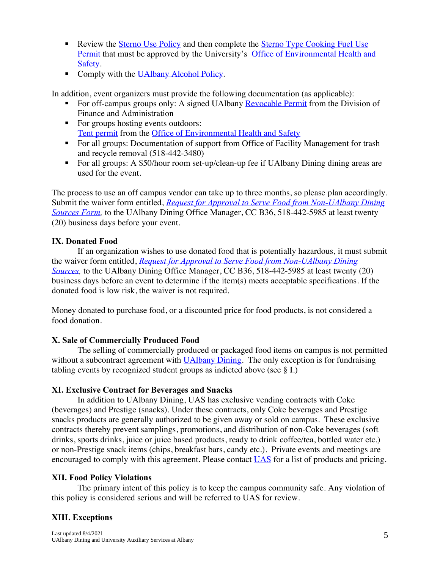- Review the [Sterno Use Policy](http://www.albany.edu/ehs/pdf/SternoPolicy2014.pdf) and then complete the [Sterno Type Cooking Fuel Use](http://www.albany.edu/ehs/pdf/QuickPermitApplicationSTERNO-typeable.pdf) [Permit](http://www.albany.edu/ehs/pdf/QuickPermitApplicationSTERNO-typeable.pdf) that must be approved by the University's [Office of Environmental Health and](http://www.albany.edu/ehs/) [Safety.](http://www.albany.edu/ehs/)
- Comply with the [UAlbany Alcohol Policy.](https://portal.itsli.albany.edu/documents/14702/27405/EP-HP-Alcohol-Policy-2014-15.pdf)

In addition, event organizers must provide the following documentation (as applicable):

- For off-campus groups only: A signed UAlbany [Revocable Permit](http://www.albany.edu/controller/revocable_permits.php) from the Division of Finance and Administration
- For groups hosting events outdoors: [Tent permit](http://www.albany.edu/facilities/documents/code/QP-Tents.pdf) from the [Office of Environmental Health and Safety](http://www.albany.edu/ehs/)
- For all groups: Documentation of support from Office of Facility Management for trash and recycle removal (518-442-3480)
- For all groups: A \$50/hour room set-up/clean-up fee if UAlbany Dining dining areas are used for the event.

The process to use an off campus vendor can take up to three months, so please plan accordingly. Submit the waiver form entitled, *[Request for Approval to Serve Food from Non-UAlbany Dining](https://ualbanydining.com/images/Request%20for%20Approval%20Form_tcm108-5736.pdf)  [Sources Form,](https://ualbanydining.com/images/Request%20for%20Approval%20Form_tcm108-5736.pdf)* to the UAlbany Dining Office Manager, CC B36, 518-442-5985 at least twenty (20) business days before your event.

## **IX. Donated Food**

If an organization wishes to use donated food that is potentially hazardous, it must submit the waiver form entitled, *[Request for Approval to Serve Food from Non-UAlbany Dining](https://ualbanydining.com/images/Request%20for%20Approval%20Form_tcm108-5736.pdf)  Sources*, to the UAlbany Dining Office Manager, CC B36, 518-442-5985 at least twenty (20) business days before an event to determine if the item(s) meets acceptable specifications. If the donated food is low risk, the waiver is not required.

Money donated to purchase food, or a discounted price for food products, is not considered a food donation.

## **X. Sale of Commercially Produced Food**

The selling of commercially produced or packaged food items on campus is not permitted without a subcontract agreement with [UAlbany Dining.](mailto:dining@albany.edu) The only exception is for fundraising tabling events by recognized student groups as indicted above (see § I.)

#### **XI. Exclusive Contract for Beverages and Snacks**

In addition to UAlbany Dining, UAS has exclusive vending contracts with Coke (beverages) and Prestige (snacks). Under these contracts, only Coke beverages and Prestige snacks products are generally authorized to be given away or sold on campus. These exclusive contracts thereby prevent samplings, promotions, and distribution of non-Coke beverages (soft drinks, sports drinks, juice or juice based products, ready to drink coffee/tea, bottled water etc.) or non-Prestige snack items (chips, breakfast bars, candy etc.). Private events and meetings are encouraged to comply with this agreement. Please contact [UAS](mailto:uas@albany.edu) for a list of products and pricing.

## **XII. Food Policy Violations**

The primary intent of this policy is to keep the campus community safe. Any violation of this policy is considered serious and will be referred to UAS for review.

## **XIII. Exceptions**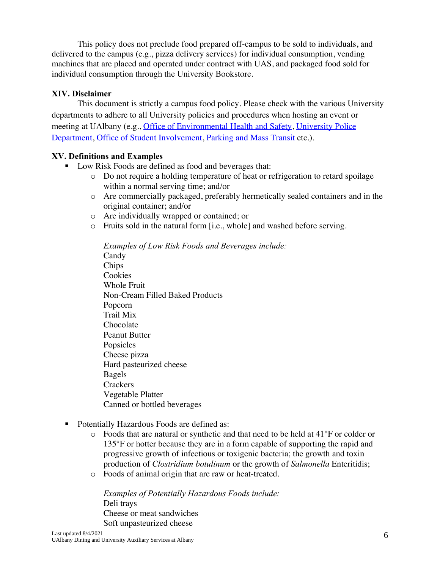This policy does not preclude food prepared off-campus to be sold to individuals, and delivered to the campus (e.g., pizza delivery services) for individual consumption, vending machines that are placed and operated under contract with UAS, and packaged food sold for individual consumption through the University Bookstore.

#### **XIV. Disclaimer**

This document is strictly a campus food policy. Please check with the various University departments to adhere to all University policies and procedures when hosting an event or meeting at UAlbany (e.g., [Office of Environmental Health and Safety,](http://www.albany.edu/ehs/) [University Police](http://police.albany.edu/)  [Department,](http://police.albany.edu/) [Office of Student Involvement,](http://www.albany.edu/involvement/eventplanning.shtml) Parking [and Mass Transit](http://www.albany.edu/pmts/parking.php) etc.).

#### **XV. Definitions and Examples**

- Low Risk Foods are defined as food and beverages that:
	- o Do not require a holding temperature of heat or refrigeration to retard spoilage within a normal serving time; and/or
	- o Are commercially packaged, preferably hermetically sealed containers and in the original container; and/or
	- o Are individually wrapped or contained; or
	- o Fruits sold in the natural form [i.e., whole] and washed before serving.

*Examples of Low Risk Foods and Beverages include:* Candy Chips **Cookies** Whole Fruit Non-Cream Filled Baked Products Popcorn Trail Mix Chocolate Peanut Butter Popsicles Cheese pizza Hard pasteurized cheese Bagels **Crackers** Vegetable Platter Canned or bottled beverages

- Potentially Hazardous Foods are defined as:
	- $\circ$  Foods that are natural or synthetic and that need to be held at 41 $\degree$ F or colder or 135°F or hotter because they are in a form capable of supporting the rapid and progressive growth of infectious or toxigenic bacteria; the growth and toxin production of *Clostridium botulinum* or the growth of *Salmonella* Enteritidis;
	- o Foods of animal origin that are raw or heat-treated.

*Examples of Potentially Hazardous Foods include:*  Deli trays Cheese or meat sandwiches Soft unpasteurized cheese